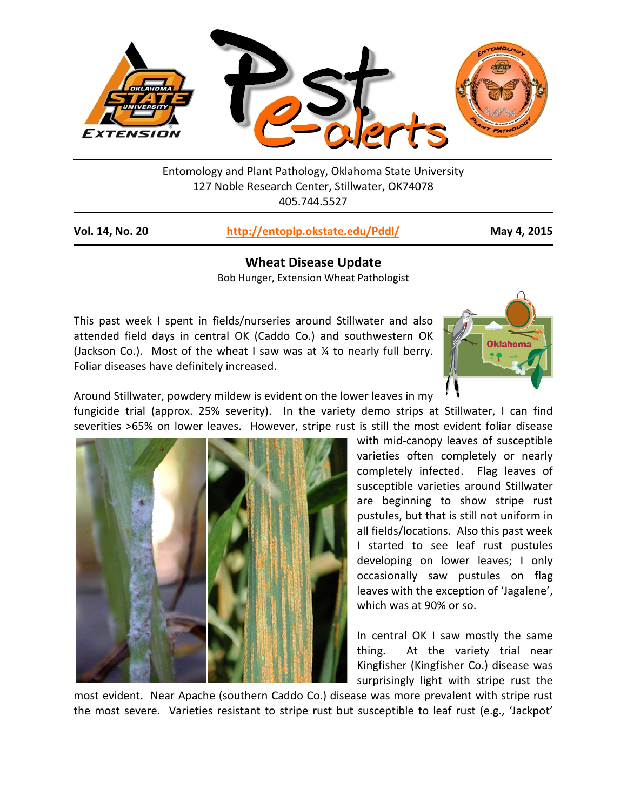

Entomology and Plant Pathology, Oklahoma State University 127 Noble Research Center, Stillwater, OK74078 405.744.5527

**Vol. 14, No. 20 <http://entoplp.okstate.edu/Pddl/> May 4, 2015**

**Wheat Disease Update** Bob Hunger, Extension Wheat Pathologist

This past week I spent in fields/nurseries around Stillwater and also attended field days in central OK (Caddo Co.) and southwestern OK (Jackson Co.). Most of the wheat I saw was at  $\frac{1}{4}$  to nearly full berry. Foliar diseases have definitely increased.



Around Stillwater, powdery mildew is evident on the lower leaves in my

fungicide trial (approx. 25% severity). In the variety demo strips at Stillwater, I can find severities >65% on lower leaves. However, stripe rust is still the most evident foliar disease

with mid-canopy leaves of susceptible varieties often completely or nearly completely infected. Flag leaves of susceptible varieties around Stillwater are beginning to show stripe rust pustules, but that is still not uniform in all fields/locations. Also this past week I started to see leaf rust pustules developing on lower leaves; I only occasionally saw pustules on flag leaves with the exception of 'Jagalene', which was at 90% or so.

In central OK I saw mostly the same thing. At the variety trial near Kingfisher (Kingfisher Co.) disease was surprisingly light with stripe rust the

most evident. Near Apache (southern Caddo Co.) disease was more prevalent with stripe rust the most severe. Varieties resistant to stripe rust but susceptible to leaf rust (e.g., 'Jackpot'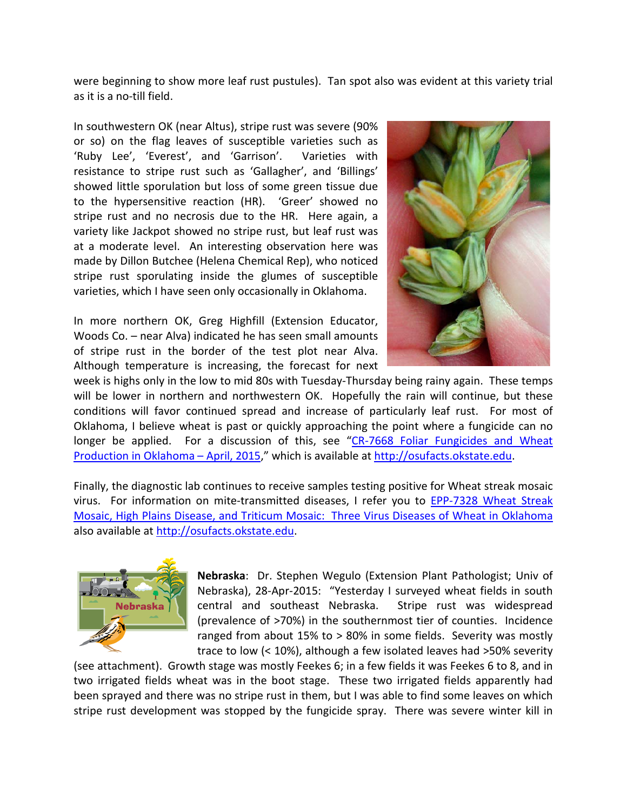were beginning to show more leaf rust pustules). Tan spot also was evident at this variety trial as it is a no-till field.

In southwestern OK (near Altus), stripe rust was severe (90% or so) on the flag leaves of susceptible varieties such as 'Ruby Lee', 'Everest', and 'Garrison'. Varieties with resistance to stripe rust such as 'Gallagher', and 'Billings' showed little sporulation but loss of some green tissue due to the hypersensitive reaction (HR). 'Greer' showed no stripe rust and no necrosis due to the HR. Here again, a variety like Jackpot showed no stripe rust, but leaf rust was at a moderate level. An interesting observation here was made by Dillon Butchee (Helena Chemical Rep), who noticed stripe rust sporulating inside the glumes of susceptible varieties, which I have seen only occasionally in Oklahoma.

In more northern OK, Greg Highfill (Extension Educator, Woods Co. – near Alva) indicated he has seen small amounts of stripe rust in the border of the test plot near Alva. Although temperature is increasing, the forecast for next



week is highs only in the low to mid 80s with Tuesday-Thursday being rainy again. These temps will be lower in northern and northwestern OK. Hopefully the rain will continue, but these conditions will favor continued spread and increase of particularly leaf rust. For most of Oklahoma, I believe wheat is past or quickly approaching the point where a fungicide can no longer be applied. For a discussion of this, see ["CR-7668 Foliar Fungicides and Wheat](http://pods.dasnr.okstate.edu/docushare/dsweb/Get/Document-4987/CR-7668web.pdf)  [Production in Oklahoma –](http://pods.dasnr.okstate.edu/docushare/dsweb/Get/Document-4987/CR-7668web.pdf) April, 2015," which is available at [http://osufacts.okstate.edu.](http://osufacts.okstate.edu/)

Finally, the diagnostic lab continues to receive samples testing positive for Wheat streak mosaic virus. For information on mite-transmitted diseases, I refer you to **EPP-7328 Wheat Streak** Mosaic, High Plains Disease, and Triticum Mosaic: Three Virus Diseases of Wheat in Oklahoma also available at [http://osufacts.okstate.edu.](http://osufacts.okstate.edu/)



**Nebraska**: Dr. Stephen Wegulo (Extension Plant Pathologist; Univ of Nebraska), 28-Apr-2015: "Yesterday I surveyed wheat fields in south central and southeast Nebraska. Stripe rust was widespread (prevalence of >70%) in the southernmost tier of counties. Incidence ranged from about 15% to > 80% in some fields. Severity was mostly trace to low (< 10%), although a few isolated leaves had >50% severity

(see attachment). Growth stage was mostly Feekes 6; in a few fields it was Feekes 6 to 8, and in two irrigated fields wheat was in the boot stage. These two irrigated fields apparently had been sprayed and there was no stripe rust in them, but I was able to find some leaves on which stripe rust development was stopped by the fungicide spray. There was severe winter kill in